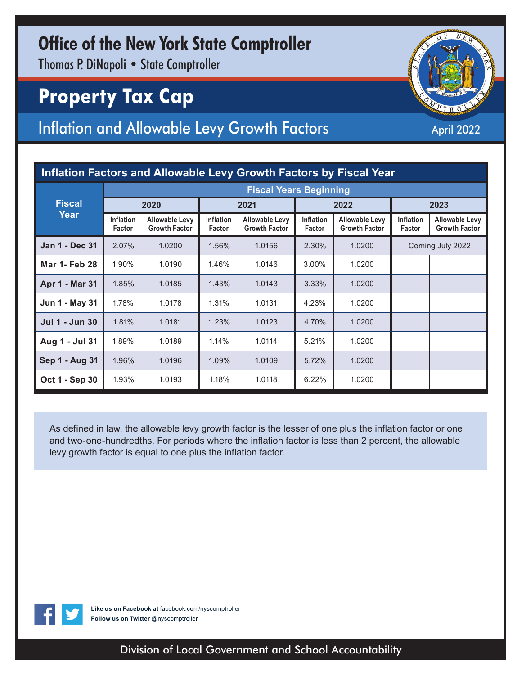## **Office of the New York State Comptroller**

Thomas P. DiNapoli • State Comptroller

# **Property Tax Cap**

### Inflation and Allowable Levy Growth Factors April 2022

| Inflation Factors and Allowable Levy Growth Factors by Fiscal Year |                               |                                               |                            |                                               |                            |                                               |                            |                                               |  |  |  |
|--------------------------------------------------------------------|-------------------------------|-----------------------------------------------|----------------------------|-----------------------------------------------|----------------------------|-----------------------------------------------|----------------------------|-----------------------------------------------|--|--|--|
| <b>Fiscal</b><br>Year                                              | <b>Fiscal Years Beginning</b> |                                               |                            |                                               |                            |                                               |                            |                                               |  |  |  |
|                                                                    | 2020                          |                                               | 2021                       |                                               | 2022                       |                                               | 2023                       |                                               |  |  |  |
|                                                                    | <b>Inflation</b><br>Factor    | <b>Allowable Levy</b><br><b>Growth Factor</b> | <b>Inflation</b><br>Factor | <b>Allowable Levy</b><br><b>Growth Factor</b> | <b>Inflation</b><br>Factor | <b>Allowable Levy</b><br><b>Growth Factor</b> | <b>Inflation</b><br>Factor | <b>Allowable Levy</b><br><b>Growth Factor</b> |  |  |  |
| <b>Jan 1 - Dec 31</b>                                              | 2.07%                         | 1.0200                                        | 1.56%                      | 1.0156                                        | 2.30%                      | 1.0200                                        | Coming July 2022           |                                               |  |  |  |
| <b>Mar 1- Feb 28</b>                                               | 1.90%                         | 1.0190                                        | 1.46%                      | 1.0146                                        | 3.00%                      | 1.0200                                        |                            |                                               |  |  |  |
| Apr 1 - Mar 31                                                     | 1.85%                         | 1.0185                                        | 1.43%                      | 1.0143                                        | 3.33%                      | 1.0200                                        |                            |                                               |  |  |  |
| Jun 1 - May 31                                                     | 1.78%                         | 1.0178                                        | 1.31%                      | 1.0131                                        | 4.23%                      | 1.0200                                        |                            |                                               |  |  |  |
| <b>Jul 1 - Jun 30</b>                                              | 1.81%                         | 1.0181                                        | 1.23%                      | 1.0123                                        | 4.70%                      | 1.0200                                        |                            |                                               |  |  |  |
| Aug 1 - Jul 31                                                     | 1.89%                         | 1.0189                                        | 1.14%                      | 1.0114                                        | 5.21%                      | 1.0200                                        |                            |                                               |  |  |  |
| Sep 1 - Aug 31                                                     | 1.96%                         | 1.0196                                        | 1.09%                      | 1.0109                                        | 5.72%                      | 1.0200                                        |                            |                                               |  |  |  |
| Oct 1 - Sep 30                                                     | 1.93%                         | 1.0193                                        | 1.18%                      | 1.0118                                        | 6.22%                      | 1.0200                                        |                            |                                               |  |  |  |

As defined in law, the allowable levy growth factor is the lesser of one plus the inflation factor or one and two-one-hundredths. For periods where the inflation factor is less than 2 percent, the allowable levy growth factor is equal to one plus the inflation factor.